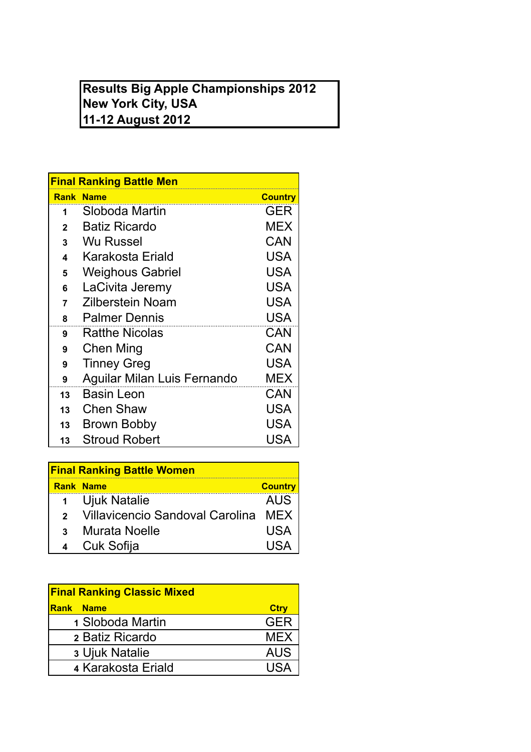## **Results Big Apple Championships 2012 New York City, USA 11-12 August 2012**

| <b>Final Ranking Battle Men</b> |                             |                |  |
|---------------------------------|-----------------------------|----------------|--|
|                                 | <b>Rank Name</b>            | <b>Country</b> |  |
| 1                               | Sloboda Martin              | GER            |  |
| $\mathbf{2}$                    | <b>Batiz Ricardo</b>        | <b>MEX</b>     |  |
| 3                               | Wu Russel                   | <b>CAN</b>     |  |
| 4                               | Karakosta Eriald            | USA            |  |
| 5                               | <b>Weighous Gabriel</b>     | <b>USA</b>     |  |
| 6                               | LaCivita Jeremy             | <b>USA</b>     |  |
| 7                               | Zilberstein Noam            | USA            |  |
| 8                               | <b>Palmer Dennis</b>        | <b>USA</b>     |  |
| 9                               | <b>Ratthe Nicolas</b>       | <b>CAN</b>     |  |
| 9                               | Chen Ming                   | CAN            |  |
| 9                               | <b>Tinney Greg</b>          | <b>USA</b>     |  |
| 9                               | Aguilar Milan Luis Fernando | <b>MEX</b>     |  |
| 13                              | <b>Basin Leon</b>           | CAN            |  |
| 13                              | Chen Shaw                   | USA            |  |
| 13                              | Brown Bobby                 | USA            |  |
| 13                              | <b>Stroud Robert</b>        | USA            |  |

| <b>Final Ranking Battle Women</b> |                                     |                |  |
|-----------------------------------|-------------------------------------|----------------|--|
|                                   | <b>Rank Name</b>                    | <b>Country</b> |  |
| 1                                 | Ujuk Natalie                        | <b>AUS</b>     |  |
| $\mathbf{p}$                      | Villavicencio Sandoval Carolina MEX |                |  |
| $\mathbf{R}$                      | Murata Noelle                       | USA            |  |
|                                   | Cuk Sofija                          |                |  |

| <b>Final Ranking Classic Mixed</b> |             |  |
|------------------------------------|-------------|--|
| <b>Rank Name</b>                   | <b>Ctry</b> |  |
| 1 Sloboda Martin                   | <b>GER</b>  |  |
| 2 Batiz Ricardo                    | <b>MEX</b>  |  |
| 3 Ujuk Natalie                     | <b>AUS</b>  |  |
| 4 Karakosta Eriald                 | 1194        |  |